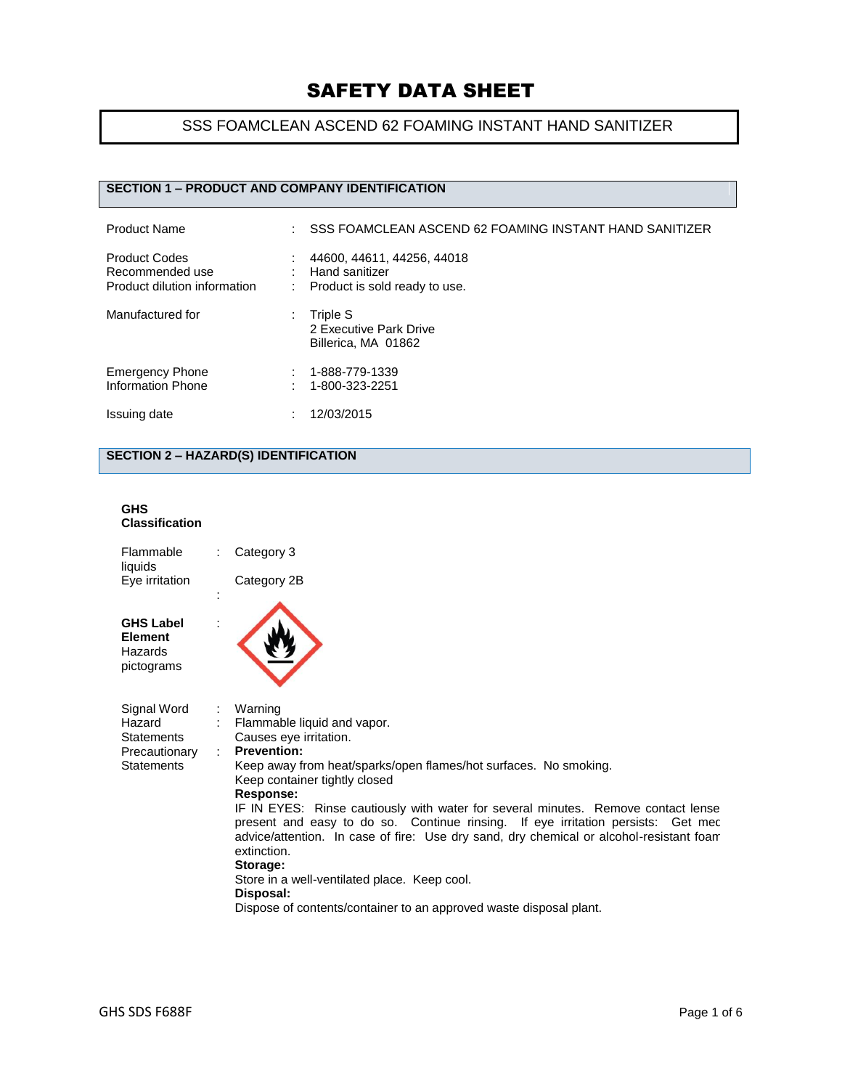## SSS FOAMCLEAN ASCEND 62 FOAMING INSTANT HAND SANITIZER

### **SECTION 1 – PRODUCT AND COMPANY IDENTIFICATION**

| <b>Product Name</b>                                                     | ÷       | SSS FOAMCLEAN ASCEND 62 FOAMING INSTANT HAND SANITIZER                        |
|-------------------------------------------------------------------------|---------|-------------------------------------------------------------------------------|
| <b>Product Codes</b><br>Recommended use<br>Product dilution information | ٠<br>÷. | 44600, 44611, 44256, 44018<br>Hand sanitizer<br>Product is sold ready to use. |
| Manufactured for                                                        | ÷       | Triple S<br>2 Executive Park Drive<br>Billerica, MA 01862                     |
| <b>Emergency Phone</b><br><b>Information Phone</b>                      |         | 1-888-779-1339<br>1-800-323-2251                                              |
| Issuing date                                                            | ٠       | 12/03/2015                                                                    |

## **SECTION 2 – HAZARD(S) IDENTIFICATION**

#### **GHS Classification**

| Flammable<br>liquids                                                             |   | Category 3                                                                                                                                                                                                                                                                                                                                                                                                                                                                                                                                                                                                                                 |
|----------------------------------------------------------------------------------|---|--------------------------------------------------------------------------------------------------------------------------------------------------------------------------------------------------------------------------------------------------------------------------------------------------------------------------------------------------------------------------------------------------------------------------------------------------------------------------------------------------------------------------------------------------------------------------------------------------------------------------------------------|
| Eye irritation                                                                   |   | Category 2B                                                                                                                                                                                                                                                                                                                                                                                                                                                                                                                                                                                                                                |
| <b>GHS Label</b><br><b>Element</b><br>Hazards<br>pictograms                      |   |                                                                                                                                                                                                                                                                                                                                                                                                                                                                                                                                                                                                                                            |
| Signal Word<br>Hazard<br><b>Statements</b><br>Precautionary<br><b>Statements</b> | ÷ | Warning<br>Flammable liquid and vapor.<br>Causes eye irritation.<br><b>Prevention:</b><br>Keep away from heat/sparks/open flames/hot surfaces. No smoking.<br>Keep container tightly closed<br>Response:<br>IF IN EYES: Rinse cautiously with water for several minutes. Remove contact lense<br>present and easy to do so. Continue rinsing. If eye irritation persists: Get mec<br>advice/attention. In case of fire: Use dry sand, dry chemical or alcohol-resistant foar<br>extinction.<br>Storage:<br>Store in a well-ventilated place. Keep cool.<br>Disposal:<br>Dispose of contents/container to an approved waste disposal plant. |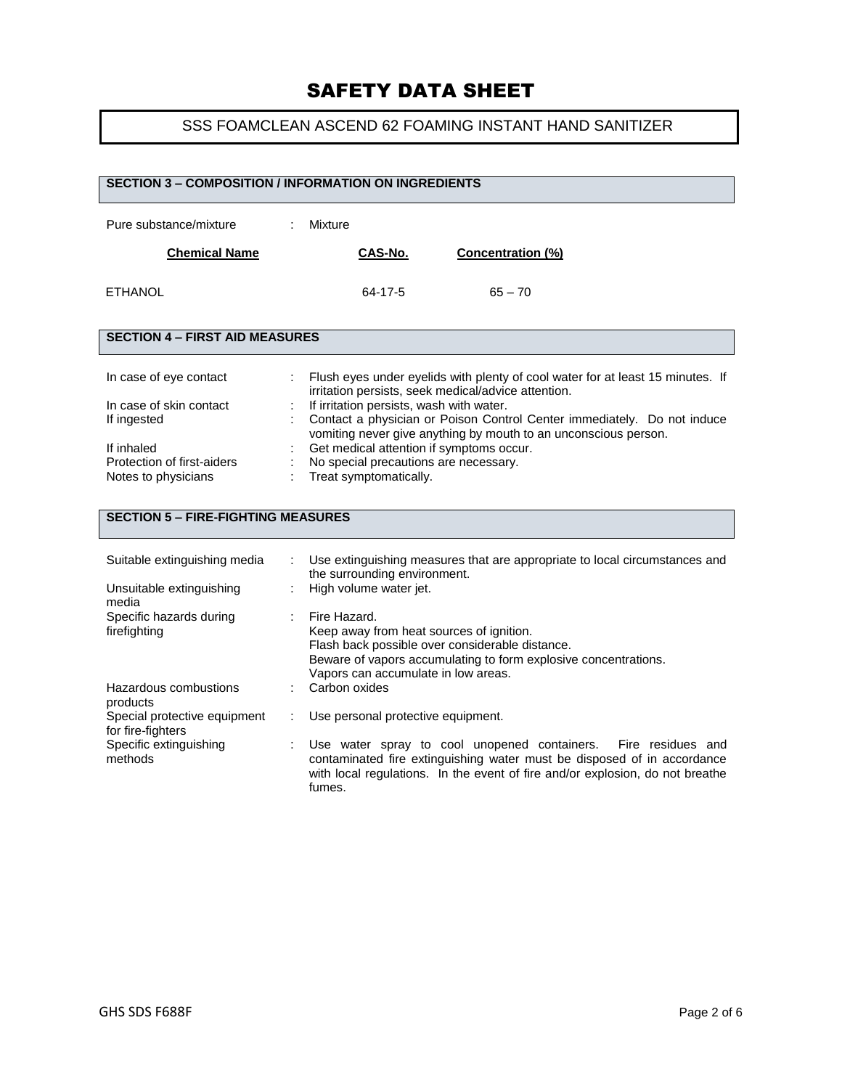## SSS FOAMCLEAN ASCEND 62 FOAMING INSTANT HAND SANITIZER

| <b>SECTION 3 - COMPOSITION / INFORMATION ON INGREDIENTS</b>                                                                         |                                                                                                                                                                                                                                                                                                                                                                                                                                                |                   |
|-------------------------------------------------------------------------------------------------------------------------------------|------------------------------------------------------------------------------------------------------------------------------------------------------------------------------------------------------------------------------------------------------------------------------------------------------------------------------------------------------------------------------------------------------------------------------------------------|-------------------|
| Pure substance/mixture                                                                                                              | Mixture                                                                                                                                                                                                                                                                                                                                                                                                                                        |                   |
| <b>Chemical Name</b>                                                                                                                | CAS-No.<br>Concentration (%)                                                                                                                                                                                                                                                                                                                                                                                                                   |                   |
| <b>ETHANOL</b>                                                                                                                      | $65 - 70$<br>64-17-5                                                                                                                                                                                                                                                                                                                                                                                                                           |                   |
| <b>SECTION 4 - FIRST AID MEASURES</b>                                                                                               |                                                                                                                                                                                                                                                                                                                                                                                                                                                |                   |
| In case of eye contact<br>In case of skin contact<br>If ingested<br>If inhaled<br>Protection of first-aiders<br>Notes to physicians | Flush eyes under eyelids with plenty of cool water for at least 15 minutes. If<br>irritation persists, seek medical/advice attention.<br>If irritation persists, wash with water.<br>Contact a physician or Poison Control Center immediately. Do not induce<br>vomiting never give anything by mouth to an unconscious person.<br>Get medical attention if symptoms occur.<br>No special precautions are necessary.<br>Treat symptomatically. |                   |
| <b>SECTION 5 - FIRE-FIGHTING MEASURES</b>                                                                                           |                                                                                                                                                                                                                                                                                                                                                                                                                                                |                   |
| Suitable extinguishing media<br>Unsuitable extinguishing                                                                            | Use extinguishing measures that are appropriate to local circumstances and<br>the surrounding environment.<br>High volume water jet.                                                                                                                                                                                                                                                                                                           |                   |
| media<br>Specific hazards during<br>firefighting<br>Hazardous combustions                                                           | Fire Hazard.<br>Keep away from heat sources of ignition.<br>Flash back possible over considerable distance.<br>Beware of vapors accumulating to form explosive concentrations.<br>Vapors can accumulate in low areas.<br>Carbon oxides                                                                                                                                                                                                         |                   |
| products<br>Special protective equipment                                                                                            | Use personal protective equipment.                                                                                                                                                                                                                                                                                                                                                                                                             |                   |
| for fire-fighters<br>Specific extinguishing<br>methods                                                                              | Use water spray to cool unopened containers.<br>contaminated fire extinguishing water must be disposed of in accordance<br>with local regulations. In the event of fire and/or explosion, do not breathe<br>fumes.                                                                                                                                                                                                                             | Fire residues and |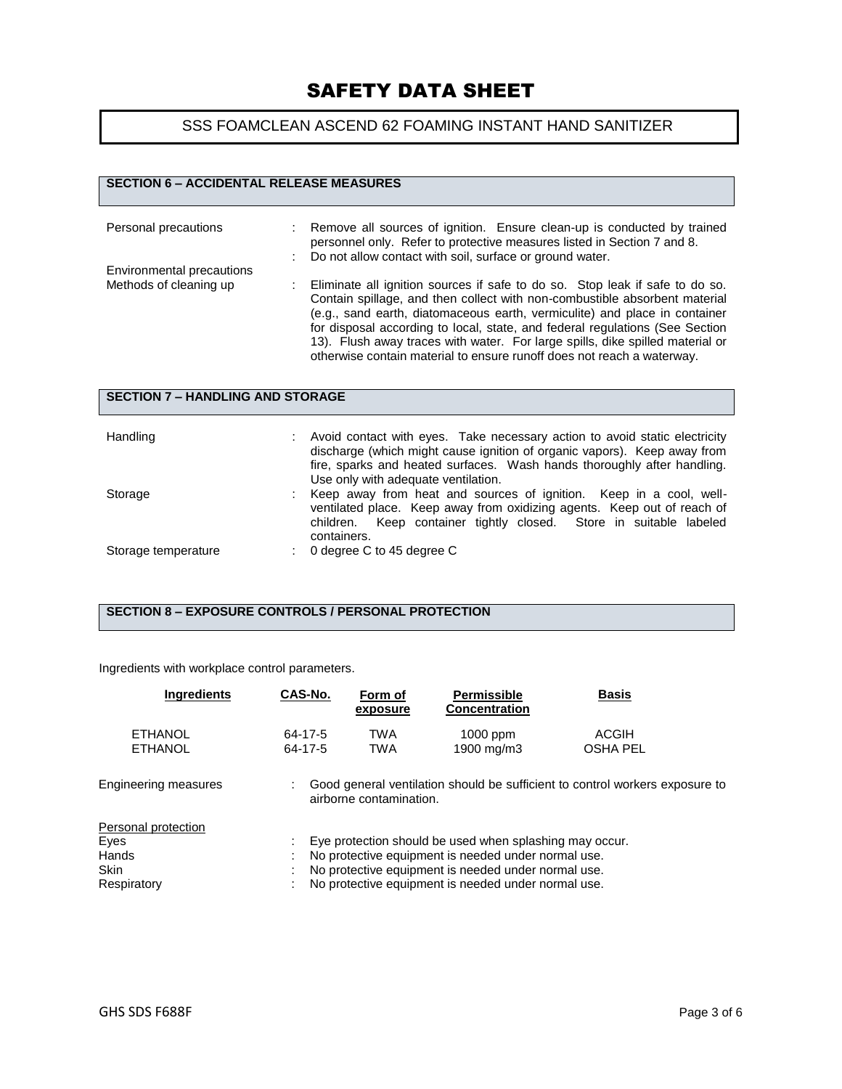## SSS FOAMCLEAN ASCEND 62 FOAMING INSTANT HAND SANITIZER

### **SECTION 6 – ACCIDENTAL RELEASE MEASURES**

| Personal precautions                                | Remove all sources of ignition. Ensure clean-up is conducted by trained<br>personnel only. Refer to protective measures listed in Section 7 and 8.<br>Do not allow contact with soil, surface or ground water.                                                                                                                                                                                                                                                                      |
|-----------------------------------------------------|-------------------------------------------------------------------------------------------------------------------------------------------------------------------------------------------------------------------------------------------------------------------------------------------------------------------------------------------------------------------------------------------------------------------------------------------------------------------------------------|
| Environmental precautions<br>Methods of cleaning up | Eliminate all ignition sources if safe to do so. Stop leak if safe to do so.<br>Contain spillage, and then collect with non-combustible absorbent material<br>(e.g., sand earth, diatomaceous earth, vermiculite) and place in container<br>for disposal according to local, state, and federal regulations (See Section<br>13). Flush away traces with water. For large spills, dike spilled material or<br>otherwise contain material to ensure runoff does not reach a waterway. |

| <b>SECTION 7 - HANDLING AND STORAGE</b> |  |                                                                                                                                                                                                                                                                          |  |
|-----------------------------------------|--|--------------------------------------------------------------------------------------------------------------------------------------------------------------------------------------------------------------------------------------------------------------------------|--|
| Handling                                |  | Avoid contact with eyes. Take necessary action to avoid static electricity<br>discharge (which might cause ignition of organic vapors). Keep away from<br>fire, sparks and heated surfaces. Wash hands thoroughly after handling.<br>Use only with adequate ventilation. |  |
| Storage                                 |  | Keep away from heat and sources of ignition. Keep in a cool, well-<br>ventilated place. Keep away from oxidizing agents. Keep out of reach of<br>Keep container tightly closed. Store in suitable labeled<br>children.<br>containers.                                    |  |
| Storage temperature                     |  | 0 degree C to 45 degree C                                                                                                                                                                                                                                                |  |

#### **SECTION 8 – EXPOSURE CONTROLS / PERSONAL PROTECTION**

Ingredients with workplace control parameters.

| <b>Ingredients</b>                                                 | CAS-No.            | Form of<br>exposure     | <b>Permissible</b><br><b>Concentration</b>                                                                                                                                                                                   | <b>Basis</b>                                                                 |
|--------------------------------------------------------------------|--------------------|-------------------------|------------------------------------------------------------------------------------------------------------------------------------------------------------------------------------------------------------------------------|------------------------------------------------------------------------------|
| <b>ETHANOL</b><br><b>ETHANOL</b>                                   | 64-17-5<br>64-17-5 | TWA<br>TWA              | 1000 ppm<br>1900 mg/m3                                                                                                                                                                                                       | <b>ACGIH</b><br><b>OSHA PEL</b>                                              |
| Engineering measures                                               |                    | airborne contamination. |                                                                                                                                                                                                                              | Good general ventilation should be sufficient to control workers exposure to |
| Personal protection<br>Eves<br>Hands<br><b>Skin</b><br>Respiratory |                    |                         | Eye protection should be used when splashing may occur.<br>No protective equipment is needed under normal use.<br>No protective equipment is needed under normal use.<br>No protective equipment is needed under normal use. |                                                                              |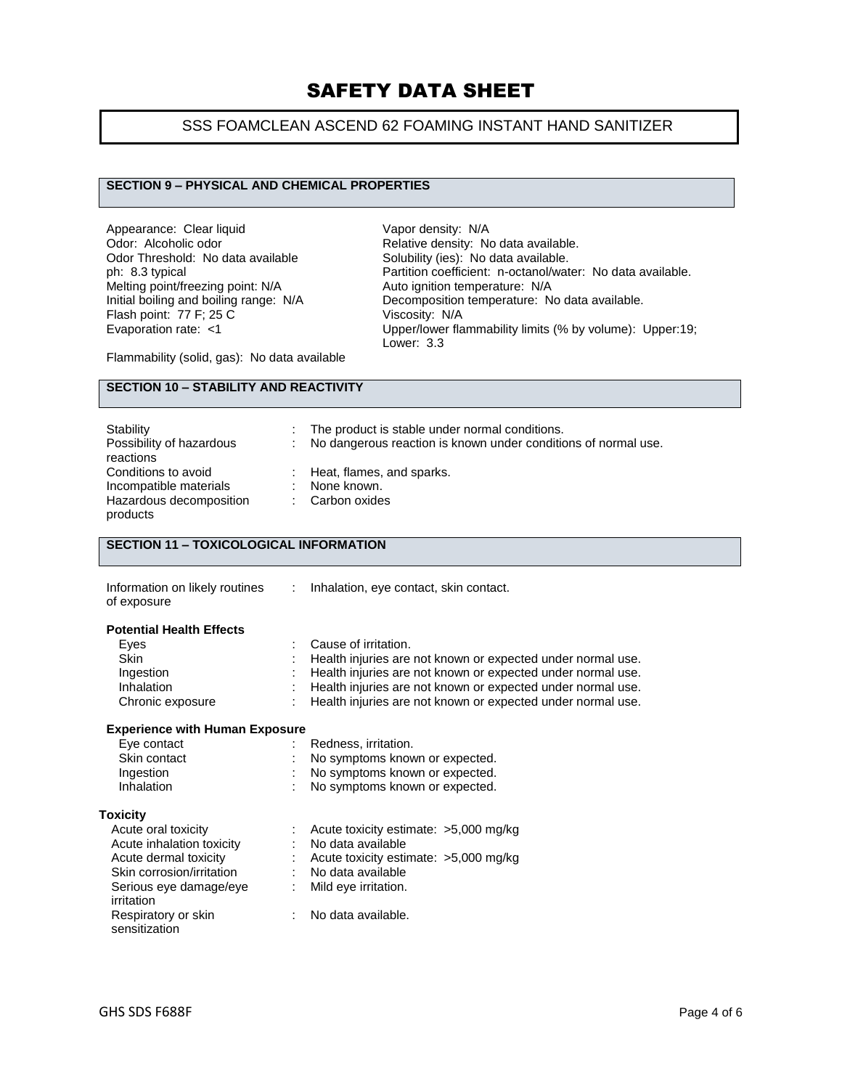### SSS FOAMCLEAN ASCEND 62 FOAMING INSTANT HAND SANITIZER

#### **SECTION 9 – PHYSICAL AND CHEMICAL PROPERTIES**

Appearance: Clear liquid<br>
Odor: Alcoholic odor<br>
Odor: Alcoholic odor Odor Threshold: No data available<br>ph: 8.3 typical Melting point/freezing point: N/A<br>Initial boiling and boiling range: N/A Flash point:  $77$  F; 25 C<br>Evaporation rate: <1

Relative density: No data available.<br>Solubility (ies): No data available. Partition coefficient: n-octanol/water: No data available.<br>Auto ignition temperature: N/A Decomposition temperature: No data available.<br>Viscosity: N/A Upper/lower flammability limits (% by volume): Upper:19; Lower: 3.3

Flammability (solid, gas): No data available

#### **SECTION 10 – STABILITY AND REACTIVITY**

| Stability                | The product is stable under normal conditions.                   |
|--------------------------|------------------------------------------------------------------|
| Possibility of hazardous | : No dangerous reaction is known under conditions of normal use. |
| reactions                |                                                                  |
| Conditions to avoid      | : Heat, flames, and sparks.                                      |
| Incompatible materials   | None known.                                                      |
| Hazardous decomposition  | Carbon oxides                                                    |
| products                 |                                                                  |

### **SECTION 11 – TOXICOLOGICAL INFORMATION**

| Information on likely routines | Inhalation, eye contact, skin contact. |
|--------------------------------|----------------------------------------|
| of exposure                    |                                        |

#### **Potential Health Effects**

| Eves             | : Cause of irritation.                                        |
|------------------|---------------------------------------------------------------|
| <b>Skin</b>      | : Health injuries are not known or expected under normal use. |
| Ingestion        | : Health injuries are not known or expected under normal use. |
| Inhalation       | : Health injuries are not known or expected under normal use. |
| Chronic exposure | : Health injuries are not known or expected under normal use. |

#### **Experience with Human Exposure**

| Eye contact  | Redness, irritation.             |
|--------------|----------------------------------|
| Skin contact | : No symptoms known or expected. |
| Ingestion    | : No symptoms known or expected. |
| Inhalation   | No symptoms known or expected.   |

#### **Toxicity**

| Acute oral toxicity                  | Acute toxicity estimate: >5,000 mg/kg |
|--------------------------------------|---------------------------------------|
| Acute inhalation toxicity            | No data available                     |
| Acute dermal toxicity                | Acute toxicity estimate: >5,000 mg/kg |
| Skin corrosion/irritation            | No data available                     |
| Serious eye damage/eye<br>irritation | Mild eye irritation.                  |
| Respiratory or skin<br>sensitization | No data available.                    |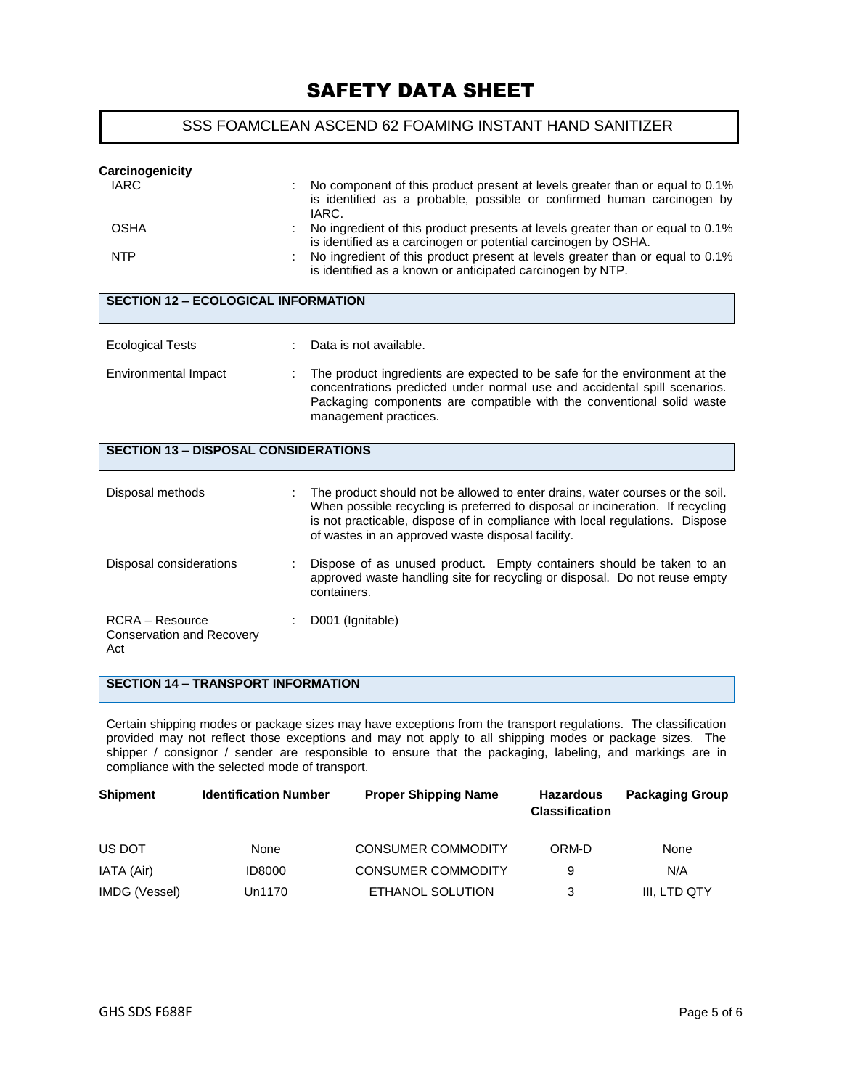#### SSS FOAMCLEAN ASCEND 62 FOAMING INSTANT HAND SANITIZER

| Carcinogenicity                                                   |                                                                                                                                                                                                                                                                                                      |
|-------------------------------------------------------------------|------------------------------------------------------------------------------------------------------------------------------------------------------------------------------------------------------------------------------------------------------------------------------------------------------|
| <b>IARC</b>                                                       | No component of this product present at levels greater than or equal to 0.1%<br>is identified as a probable, possible or confirmed human carcinogen by<br>IARC.                                                                                                                                      |
| <b>OSHA</b>                                                       | No ingredient of this product presents at levels greater than or equal to 0.1%<br>is identified as a carcinogen or potential carcinogen by OSHA.                                                                                                                                                     |
| <b>NTP</b>                                                        | No ingredient of this product present at levels greater than or equal to 0.1%<br>is identified as a known or anticipated carcinogen by NTP.                                                                                                                                                          |
| <b>SECTION 12 - ECOLOGICAL INFORMATION</b>                        |                                                                                                                                                                                                                                                                                                      |
| <b>Ecological Tests</b>                                           | Data is not available.                                                                                                                                                                                                                                                                               |
| Environmental Impact                                              | The product ingredients are expected to be safe for the environment at the<br>concentrations predicted under normal use and accidental spill scenarios.<br>Packaging components are compatible with the conventional solid waste<br>management practices.                                            |
| <b>SECTION 13 - DISPOSAL CONSIDERATIONS</b>                       |                                                                                                                                                                                                                                                                                                      |
| Disposal methods                                                  | The product should not be allowed to enter drains, water courses or the soil.<br>When possible recycling is preferred to disposal or incineration. If recycling<br>is not practicable, dispose of in compliance with local regulations. Dispose<br>of wastes in an approved waste disposal facility. |
| Disposal considerations                                           | Dispose of as unused product. Empty containers should be taken to an<br>approved waste handling site for recycling or disposal. Do not reuse empty<br>containers.                                                                                                                                    |
| <b>RCRA</b> – Resource<br><b>Conservation and Recovery</b><br>Act | D001 (Ignitable)                                                                                                                                                                                                                                                                                     |

### **SECTION 14 – TRANSPORT INFORMATION**

Certain shipping modes or package sizes may have exceptions from the transport regulations. The classification provided may not reflect those exceptions and may not apply to all shipping modes or package sizes. The shipper / consignor / sender are responsible to ensure that the packaging, labeling, and markings are in compliance with the selected mode of transport.

| <b>Shipment</b> | <b>Identification Number</b> | <b>Proper Shipping Name</b> | <b>Hazardous</b><br><b>Classification</b> | <b>Packaging Group</b> |
|-----------------|------------------------------|-----------------------------|-------------------------------------------|------------------------|
| US DOT          | None                         | <b>CONSUMER COMMODITY</b>   | ORM-D                                     | None                   |
| IATA (Air)      | <b>ID8000</b>                | <b>CONSUMER COMMODITY</b>   | 9                                         | N/A                    |
| IMDG (Vessel)   | Un1170                       | ETHANOL SOLUTION            | 3                                         | III, LTD QTY           |